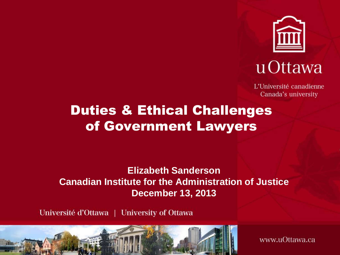

## u Ottawa

L'Université canadienne Canada's university

#### Duties & Ethical Challenges of Government Lawyers

**Elizabeth Sanderson Canadian Institute for the Administration of Justice December 13, 2013**

Université d'Ottawa | University of Ottawa



www.uOttawa.ca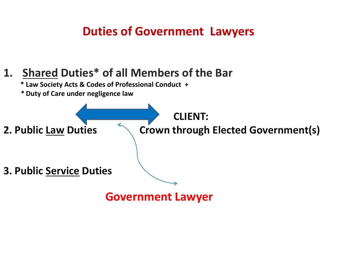#### **Duties of Government Lawyers**

#### **1. Shared Duties\* of all Members of the Bar**

**\* Law Society Acts & Codes of Professional Conduct +**

*\** **Duty of Care under negligence law**

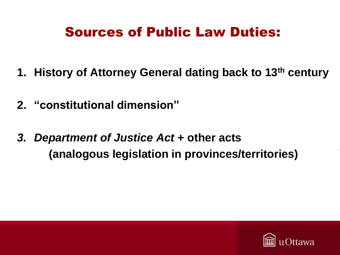#### Sources of Public Law Duties:

- **1. History of Attorney General dating back to 13th century**
- **2. "constitutional dimension"**
- *3. Department of Justice Act* **+ other acts (analogous legislation in provinces/territories)**

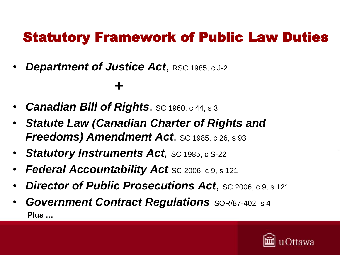#### Statutory Framework of Public Law Duties

**Department of Justice Act, RSC 1985, c J-2** 

#### **+**

- *Canadian Bill of Rights*, SC 1960, c 44, s 3
- *Statute Law (Canadian Charter of Rights and Freedoms) Amendment Act, SC 1985, c 26, s 93*
- **Statutory Instruments Act**, sc 1985, c S-22
- *Federal Accountability Act* SC 2006, c 9, s 121
- *Director of Public Prosecutions Act*, SC 2006, c 9, s 121
- *Government Contract Regulations*, SOR/87-402, s 4 **Plus …**

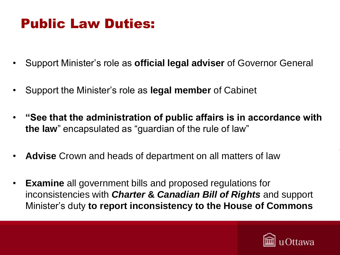#### Public Law Duties:

- Support Minister's role as **official legal adviser** of Governor General
- Support the Minister's role as **legal member** of Cabinet
- **"See that the administration of public affairs is in accordance with the law**" encapsulated as "guardian of the rule of law"
- **Advise** Crown and heads of department on all matters of law
- **Examine** all government bills and proposed regulations for inconsistencies with *Charter* **&** *Canadian Bill of Rights* and support Minister's duty **to report inconsistency to the House of Commons**

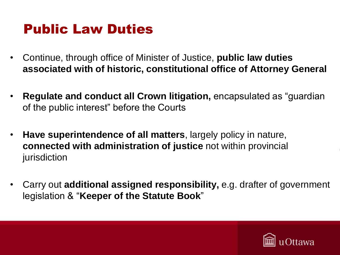#### Public Law Duties

- Continue, through office of Minister of Justice, **public law duties associated with of historic, constitutional office of Attorney General**
- **Regulate and conduct all Crown litigation,** encapsulated as "guardian of the public interest" before the Courts
- **Have superintendence of all matters**, largely policy in nature, **connected with administration of justice** not within provincial jurisdiction
- Carry out **additional assigned responsibility,** e.g. drafter of government legislation & "**Keeper of the Statute Book**"

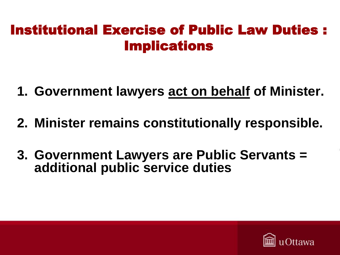#### Institutional Exercise of Public Law Duties : Implications

- **1. Government lawyers act on behalf of Minister.**
- **2. Minister remains constitutionally responsible.**
- **3. Government Lawyers are Public Servants = additional public service duties**

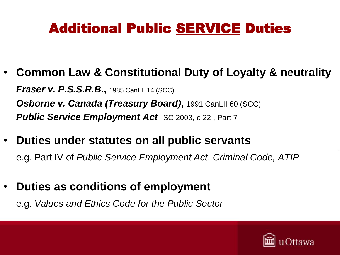### Additional Public SERVICE Duties

- **Common Law & Constitutional Duty of Loyalty & neutrality** *Fraser v. P.S.S.R.B***.,** 1985 CanLII 14 (SCC) **Osborne v. Canada (Treasury Board),** 1991 CanLII 60 (SCC) *Public Service Employment Act SC 2003, c 22, Part 7*
- **Duties under statutes on all public servants**  e.g. Part IV of *Public Service Employment Act*, *Criminal Code, ATIP*
- **Duties as conditions of employment**

e.g. *Values and Ethics Code for the Public Sector*

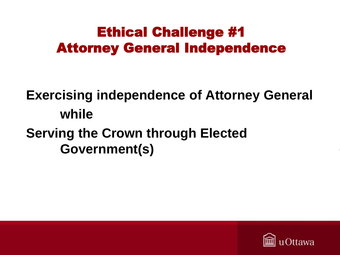#### Ethical Challenge #1 Attorney General Independence

## **Exercising independence of Attorney General while Serving the Crown through Elected Government(s)**

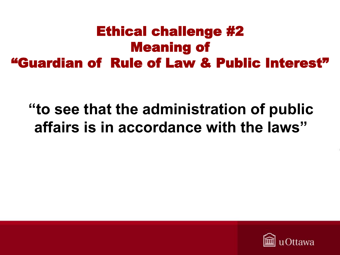### Ethical challenge #2 Meaning of "Guardian of Rule of Law & Public Interest"

## **"to see that the administration of public affairs is in accordance with the laws"**

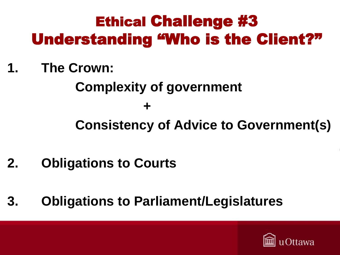# Ethical Challenge #3 Understanding "Who is the Client?"

**1. The Crown:** 

**Complexity of government** 

**+** 

**Consistency of Advice to Government(s)**

- **2. Obligations to Courts**
- **3. Obligations to Parliament/Legislatures**

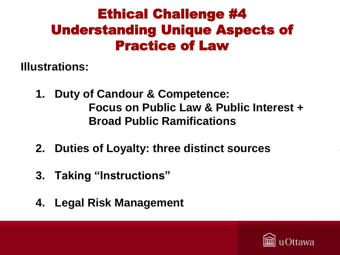### Ethical Challenge #4 Understanding Unique Aspects of Practice of Law

**Illustrations:** 

- **1. Duty of Candour & Competence: Focus on Public Law & Public Interest + Broad Public Ramifications**
- **2. Duties of Loyalty: three distinct sources**
- **3. Taking "Instructions"**
- **4. Legal Risk Management**